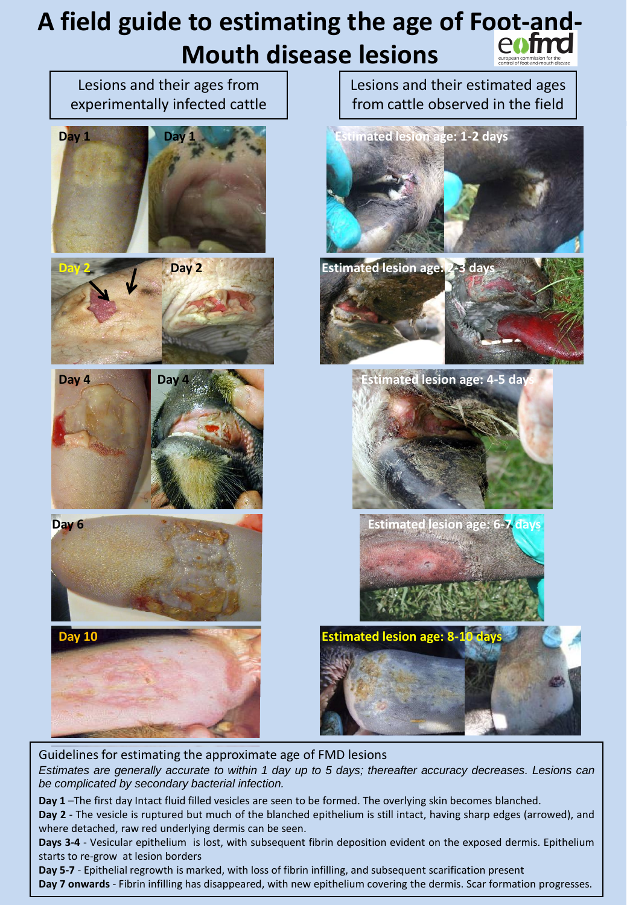# **A field guide to estimating the age of Foot-and-Mouth disease lesions**



Guidelines for estimating the approximate age of FMD lesions *Estimates are generally accurate to within 1 day up to 5 days; thereafter accuracy decreases. Lesions can be complicated by secondary bacterial infection.*

**Day 1** –The first day Intact fluid filled vesicles are seen to be formed. The overlying skin becomes blanched. **Day 2** - The vesicle is ruptured but much of the blanched epithelium is still intact, having sharp edges (arrowed), and where detached, raw red underlying dermis can be seen.

**Days 3-4** - Vesicular epithelium is lost, with subsequent fibrin deposition evident on the exposed dermis. Epithelium starts to re-grow at lesion borders

**Day 5-7** - Epithelial regrowth is marked, with loss of fibrin infilling, and subsequent scarification present **Day 7 onwards** - Fibrin infilling has disappeared, with new epithelium covering the dermis. Scar formation progresses.